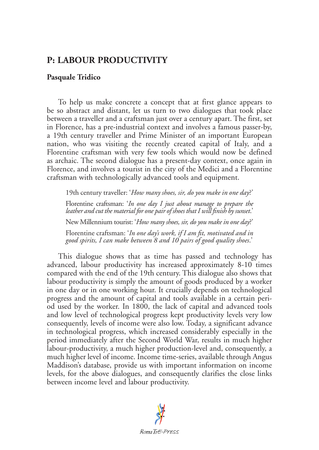## **P: LABOUR PRODUCTIVITY**

## **Pasquale Tridico**

To help us make concrete a concept that at first glance appears to be so abstract and distant, let us turn to two dialogues that took place between a traveller and a craftsman just over a century apart. The first, set in Florence, has a pre-industrial context and involves a famous passer-by, a 19th century traveller and Prime Minister of an important European nation, who was visiting the recently created capital of Italy, and a Florentine craftsman with very few tools which would now be defined as archaic. The second dialogue has a present-day context, once again in Florence, and involves a tourist in the city of the Medici and a Florentine craftsman with technologically advanced tools and equipment.

19th century traveller: '*How many shoes, sir, do you make in one day*?'

Florentine craftsman: '*In one day I just about manage to prepare the leather and cut the material for one pair of shoes that I will finish by sunset*.'

New Millennium tourist: '*How many shoes, sir, do you make in one day*?'

Florentine craftsman: '*In one day's work, if I am fit, motivated and in good spirits, I can make between 8 and 10 pairs of good quality shoes*.'

This dialogue shows that as time has passed and technology has advanced, labour productivity has increased approximately 8-10 times compared with the end of the 19th century. This dialogue also shows that labour productivity is simply the amount of goods produced by a worker in one day or in one working hour. It crucially depends on technological progress and the amount of capital and tools available in a certain period used by the worker. In 1800, the lack of capital and advanced tools and low level of technological progress kept productivity levels very low consequently, levels of income were also low. Today, a significant advance in technological progress, which increased considerably especially in the period immediately after the Second World War, results in much higher labour-productivity, a much higher production-level and, consequently, a much higher level of income. Income time-series, available through Angus Maddison's database, provide us with important information on income levels, for the above dialogues, and consequently clarifies the close links between income level and labour productivity.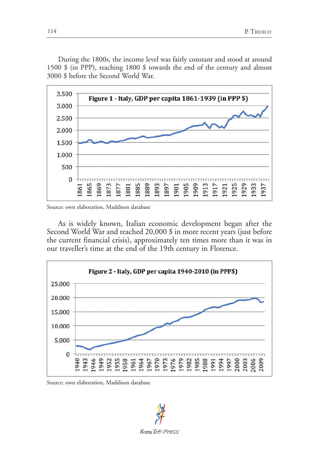During the 1800s, the income level was fairly constant and stood at around 1500 \$ (in PPP), reaching 1800 \$ towards the end of the century and almost 3000 \$ before the Second World War.



Source: own elaboration, Maddison database

As is widely known, Italian economic development began after the Second World War and reached 20,000 \$ in more recent years (just before the current financial crisis), approximately ten times more than it was in our traveller's time at the end of the 19th century in Florence.



Source: own elaboration, Maddison database

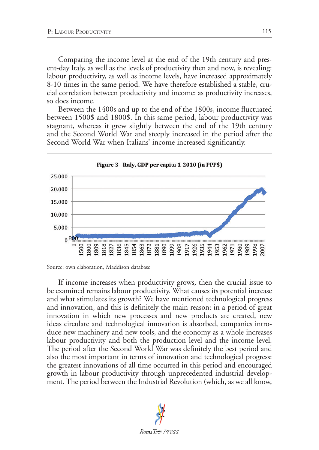Comparing the income level at the end of the 19th century and present-day Italy, as well as the levels of productivity then and now, is revealing: labour productivity, as well as income levels, have increased approximately 8-10 times in the same period. We have therefore established a stable, crucial correlation between productivity and income: as productivity increases, so does income.

Between the 1400s and up to the end of the 1800s, income fluctuated between 1500\$ and 1800\$. In this same period, labour productivity was stagnant, whereas it grew slightly between the end of the 19th century and the Second World War and steeply increased in the period after the Second World War when Italians' income increased significantly.

<span id="page-2-0"></span>

Source: own elaboration, Maddison database

If income increases when productivity grows, then the crucial issue to be examined remains labour productivity. What causes its potential increase and what stimulates its growth? We have mentioned technological progress and innovation, and this is definitely the main reason: in a period of great innovation in which new processes and new products are created, new ideas circulate and technological innovation is absorbed, companies introduce new machinery and new tools, and the economy as a whole increases labour productivity and both the production level and the income level. The period after the Second World War was definitely the best period and also the most important in terms of innovation and technological progress: the greatest innovations of all time occurred in this period and encouraged growth in labour productivity through unprecedented industrial development. The period between the Industrial Revolution (which, as we all know,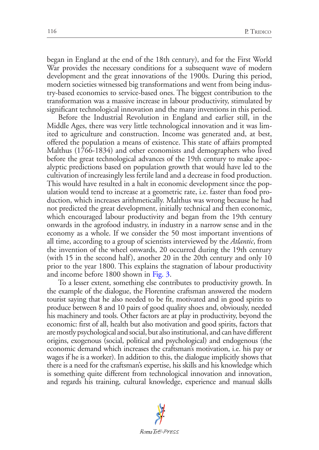began in England at the end of the 18th century), and for the First World War provides the necessary conditions for a subsequent wave of modern development and the great innovations of the 1900s. During this period, modern societies witnessed big transformations and went from being industry-based economies to service-based ones. The biggest contribution to the transformation was a massive increase in labour productivity, stimulated by significant technological innovation and the many inventions in this period.

Before the Industrial Revolution in England and earlier still, in the Middle Ages, there was very little technological innovation and it was limited to agriculture and construction. Income was generated and, at best, offered the population a means of existence. This state of affairs prompted Malthus (1766-1834) and other economists and demographers who lived before the great technological advances of the 19th century to make apocalyptic predictions based on population growth that would have led to the cultivation of increasingly less fertile land and a decrease in food production. This would have resulted in a halt in economic development since the population would tend to increase at a geometric rate, i.e. faster than food production, which increases arithmetically. Malthus was wrong because he had not predicted the great development, initially technical and then economic, which encouraged labour productivity and began from the 19th century onwards in the agrofood industry, in industry in a narrow sense and in the economy as a whole. If we consider the 50 most important inventions of all time, according to a group of scientists interviewed by the *Atlantic*, from the invention of the wheel onwards, 20 occurred during the 19th century (with 15 in the second half), another 20 in the 20th century and only 10 prior to the year 1800. This explains the stagnation of labour productivity and income before 1800 shown in [Fig. 3](#page-2-0).

To a lesser extent, something else contributes to productivity growth. In the example of the dialogue, the Florentine craftsman answered the modern tourist saying that he also needed to be fit, motivated and in good spirits to produce between 8 and 10 pairs of good quality shoes and, obviously, needed his machinery and tools. Other factors are at play in productivity, beyond the economic: first of all, health but also motivation and good spirits, factors that are mostly psychological and social, but also institutional, and can have different origins, exogenous (social, political and psychological) and endogenous (the economic demand which increases the craftsman's motivation, i.e. his pay or wages if he is a worker). In addition to this, the dialogue implicitly shows that there is a need for the craftsman's expertise, his skills and his knowledge which is something quite different from technological innovation and innovation, and regards his training, cultural knowledge, experience and manual skills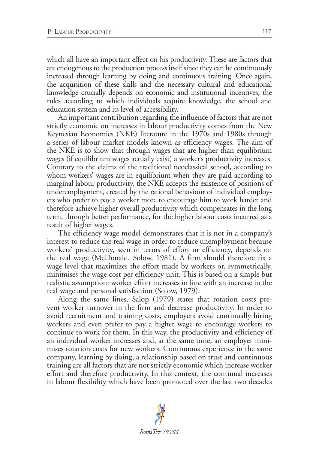which all have an important effect on his productivity. These are factors that are endogenous to the production process itself since they can be continuously increased through learning by doing and continuous training. Once again, the acquisition of these skills and the necessary cultural and educational knowledge crucially depends on economic and institutional incentives, the rules according to which individuals acquire knowledge, the school and education system and its level of accessibility.

An important contribution regarding the influence of factors that are not strictly economic on increases in labour productivity comes from the New Keynesian Economics (NKE) literature in the 1970s and 1980s through a series of labour market models known as efficiency wages. The aim of the NKE is to show that through wages that are higher than equilibrium wages (if equilibrium wages actually exist) a worker's productivity increases. Contrary to the claims of the traditional neoclassical school, according to whom workers' wages are in equilibrium when they are paid according to marginal labour productivity, the NKE accepts the existence of positions of underemployment, created by the rational behaviour of individual employers who prefer to pay a worker more to encourage him to work harder and therefore achieve higher overall productivity which compensates in the long term, through better performance, for the higher labour costs incurred as a result of higher wages.

The efficiency wage model demonstrates that it is not in a company's interest to reduce the real wage in order to reduce unemployment because workers' productivity, seen in terms of effort or efficiency, depends on the real wage (McDonald, Solow, 1981). A firm should therefore fix a wage level that maximizes the effort made by workers or, symmetrically, minimises the wage cost per efficiency unit. This is based on a simple but realistic assumption: worker effort increases in line with an increase in the real wage and personal satisfaction (Solow, 1979).

Along the same lines, Salop (1979) states that rotation costs prevent worker turnover in the firm and decrease productivity. In order to avoid recruitment and training costs, employers avoid continually hiring workers and even prefer to pay a higher wage to encourage workers to continue to work for them. In this way, the productivity and efficiency of an individual worker increases and, at the same time, an employer minimises rotation costs for new workers. Continuous experience in the same company, learning by doing, a relationship based on trust and continuous training are all factors that are not strictly economic which increase worker effort and therefore productivity. In this context, the continual increases in labour flexibility which have been promoted over the last two decades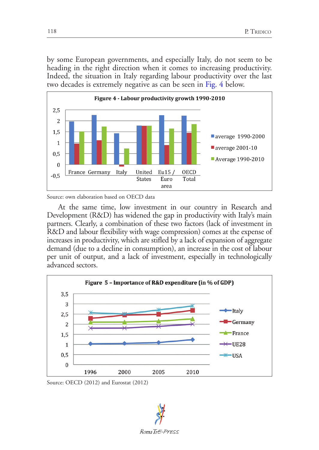by some European governments, and especially Italy, do not seem to be heading in the right direction when it comes to increasing productivity. Indeed, the situation in Italy regarding labour productivity over the last two decades is extremely negative as can be seen in [Fig. 4](#page-5-0) below.

<span id="page-5-0"></span>

Source: own elaboration based on OECD data

At the same time, low investment in our country in Research and Development (R&D) has widened the gap in productivity with Italy's main partners. Clearly, a combination of these two factors (lack of investment in R&D and labour flexibility with wage compression) comes at the expense of increases in productivity, which are stifled by a lack of expansion of aggregate demand (due to a decline in consumption), an increase in the cost of labour per unit of output, and a lack of investment, especially in technologically advanced sectors.



Source: OECD (2012) and Eurostat (2012)

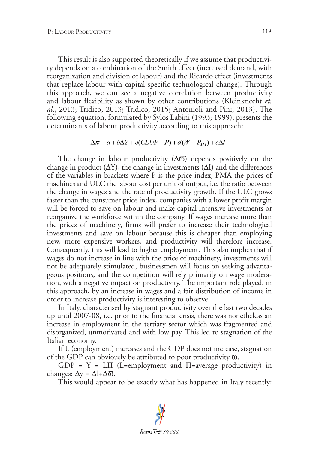This result is also supported theoretically if we assume that productivity depends on a combination of the Smith effect (increased demand, with reorganization and division of labour) and the Ricardo effect (investments that replace labour with capital-specific technological change). Through this approach, we can see a negative correlation between productivity and labour flexibility as shown by other contributions (Kleinknecht *et. al*., 2013; Tridico, 2013; Tridico, 2015; Antonioli and Pini, 2013). The following equation, formulated by Sylos Labini (1993; 1999), presents the determinants of labour productivity according to this approach:

$$
\Delta \pi = a + b\Delta Y + c(CLUP - P) + d(W - P_{MA}) + e\Delta I
$$

The change in labour productivity  $(\Delta \overline{\omega})$  depends positively on the change in product  $(\Delta Y)$ , the change in investments  $(\Delta I)$  and the differences of the variables in brackets where P is the price index, PMA the prices of machines and ULC the labour cost per unit of output, i.e. the ratio between the change in wages and the rate of productivity growth. If the ULC grows faster than the consumer price index, companies with a lower profit margin will be forced to save on labour and make capital intensive investments or reorganize the workforce within the company. If wages increase more than the prices of machinery, firms will prefer to increase their technological investments and save on labour because this is cheaper than employing new, more expensive workers, and productivity will therefore increase. Consequently, this will lead to higher employment. This also implies that if wages do not increase in line with the price of machinery, investments will not be adequately stimulated, businessmen will focus on seeking advantageous positions, and the competition will rely primarily on wage moderation, with a negative impact on productivity. The important role played, in this approach, by an increase in wages and a fair distribution of income in order to increase productivity is interesting to observe.

In Italy, characterised by stagnant productivity over the last two decades up until 2007-08, i.e. prior to the financial crisis, there was nonetheless an increase in employment in the tertiary sector which was fragmented and disorganized, unmotivated and with low pay. This led to stagnation of the Italian economy.

If L (employment) increases and the GDP does not increase, stagnation of the GDP can obviously be attributed to poor productivity  $\bar{\omega}$ .

 $GDP = Y = L\Pi$  (L=employment and  $\Pi$ =average productivity) in changes:  $\Delta y = \Delta l + \Delta \overline{\omega}$ .

This would appear to be exactly what has happened in Italy recently: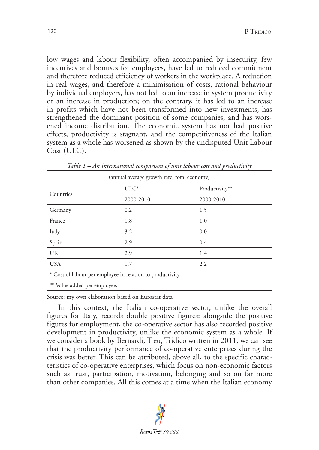low wages and labour flexibility, often accompanied by insecurity, few incentives and bonuses for employees, have led to reduced commitment and therefore reduced efficiency of workers in the workplace. A reduction in real wages, and therefore a minimisation of costs, rational behaviour by individual employers, has not led to an increase in system productivity or an increase in production; on the contrary, it has led to an increase in profits which have not been transformed into new investments, has strengthened the dominant position of some companies, and has worsened income distribution. The economic system has not had positive effects, productivity is stagnant, and the competitiveness of the Italian system as a whole has worsened as shown by the undisputed Unit Labour Cost (ULC).

| (annual average growth rate, total economy)                |           |                |
|------------------------------------------------------------|-----------|----------------|
| Countries                                                  | $ULC^*$   | Productivity** |
|                                                            | 2000-2010 | 2000-2010      |
| Germany                                                    | 0.2       | 1.5            |
| France                                                     | 1.8       | 1.0            |
| Italy                                                      | 3.2       | 0.0            |
| Spain                                                      | 2.9       | 0.4            |
| UK                                                         | 2.9       | 1.4            |
| <b>USA</b>                                                 | 1.7       | 2.2            |
| * Cost of labour per employee in relation to productivity. |           |                |
| ** Value added per employee.                               |           |                |

*Table 1 – An international comparison of unit labour cost and productivity*

Source: my own elaboration based on Eurostat data

In this context, the Italian co-operative sector, unlike the overall figures for Italy, records double positive figures: alongside the positive figures for employment, the co-operative sector has also recorded positive development in productivity, unlike the economic system as a whole. If we consider a book by Bernardi, Treu, Tridico written in 2011, we can see that the productivity performance of co-operative enterprises during the crisis was better. This can be attributed, above all, to the specific characteristics of co-operative enterprises, which focus on non-economic factors such as trust, participation, motivation, belonging and so on far more than other companies. All this comes at a time when the Italian economy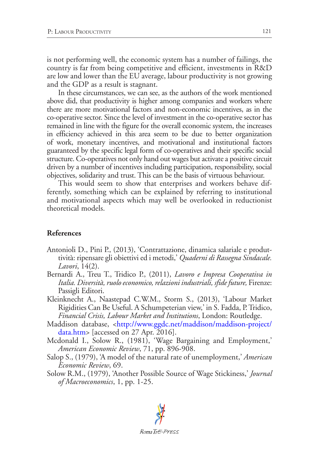is not performing well, the economic system has a number of failings, the country is far from being competitive and efficient, investments in R&D are low and lower than the EU average, labour productivity is not growing and the GDP as a result is stagnant.

In these circumstances, we can see, as the authors of the work mentioned above did, that productivity is higher among companies and workers where there are more motivational factors and non-economic incentives, as in the co-operative sector. Since the level of investment in the co-operative sector has remained in line with the figure for the overall economic system, the increases in efficiency achieved in this area seem to be due to better organization of work, monetary incentives, and motivational and institutional factors guaranteed by the specific legal form of co-operatives and their specific social structure. Co-operatives not only hand out wages but activate a positive circuit driven by a number of incentives including participation, responsibility, social objectives, solidarity and trust. This can be the basis of virtuous behaviour.

This would seem to show that enterprises and workers behave differently, something which can be explained by referring to institutional and motivational aspects which may well be overlooked in reductionist theoretical models.

## **References**

- Antonioli D., Pini P., (2013), 'Contrattazione, dinamica salariale e produttività: ripensare gli obiettivi ed i metodi,' *Quaderni di Rassegna Sindacale. Lavori*, 14(2).
- Bernardi A., Treu T., Tridico P., (2011), *Lavoro e Impresa Cooperativa in Italia. Diversità, ruolo economico, relazioni industriali, sfide future,* Firenze: Passigli Editori.
- Kleinknecht A., Naastepad C.W.M., Storm S., (2013), 'Labour Market Rigidities Can Be Useful. A Schumpeterian view,' in S. Fadda, P. Tridico, *Financial Crisis, Labour Market and Institutions*, London: Routledge.
- Maddison database, [<http://www.ggdc.net/maddison/maddison-project/](http://www.ggdc.net/maddison/maddison-project/data.htm) [data.htm>](http://www.ggdc.net/maddison/maddison-project/data.htm) [accessed on 27 Apr. 2016].
- Mcdonald I., Solow R., (1981), 'Wage Bargaining and Employment,' *American Economic Review*, 71, pp. 896-908.
- Salop S., (1979), 'A model of the natural rate of unemployment,' *American Economic Review*, 69.
- Solow R.M., (1979), 'Another Possible Source of Wage Stickiness,' *Journal of Macroeconomics*, 1, pp. 1-25.